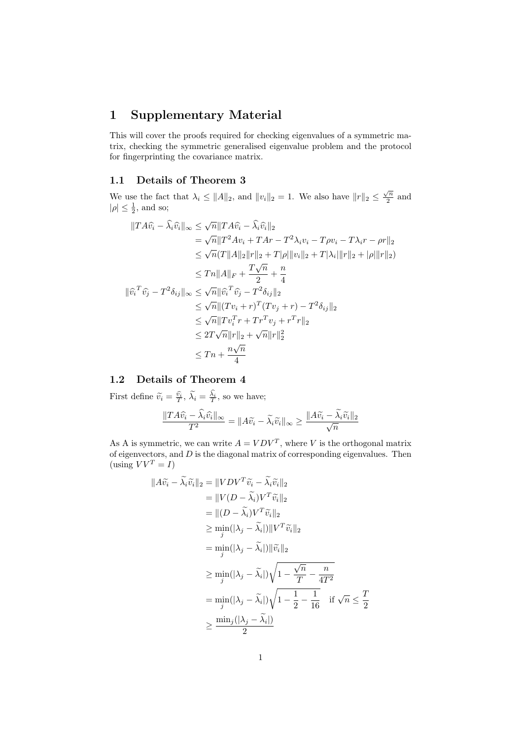# 1 Supplementary Material

This will cover the proofs required for checking eigenvalues of a symmetric matrix, checking the symmetric generalised eigenvalue problem and the protocol for fingerprinting the covariance matrix.

### 1.1 Details of Theorem 3

We use the fact that  $\lambda_i \leq ||A||_2$ , and  $||v_i||_2 = 1$ . We also have  $||r||_2 \leq \frac{\sqrt{n}}{2}$  $\frac{\sqrt{n}}{2}$  and  $|\rho| \leq \frac{1}{2}$ , and so;

$$
||TA\hat{v_i} - \hat{\lambda_i}\hat{v_i}||_{\infty} \le \sqrt{n}||TA\hat{v_i} - \hat{\lambda_i}\hat{v_i}||_2
$$
  
\n
$$
= \sqrt{n}||T^2Av_i + TAr - T^2\lambda_i v_i - T\rho v_i - T\lambda_i r - \rho r||_2
$$
  
\n
$$
\le \sqrt{n}(T||A||_2||r||_2 + T|\rho|||v_i||_2 + T|\lambda_i|||r||_2 + |\rho|||r||_2)
$$
  
\n
$$
\le Tn||A||_F + \frac{T\sqrt{n}}{2} + \frac{n}{4}
$$
  
\n
$$
||\hat{v_i}^T\hat{v_j} - T^2\delta_{ij}||_{\infty} \le \sqrt{n}||\hat{v_i}^T\hat{v_j} - T^2\delta_{ij}||_2
$$
  
\n
$$
\le \sqrt{n}||(Tv_i + r)^T(Tv_j + r) - T^2\delta_{ij}||_2
$$
  
\n
$$
\le \sqrt{n}||Tv_i^T r + Tr^Tv_j + r^Tr||_2
$$
  
\n
$$
\le 2T\sqrt{n}||r||_2 + \sqrt{n}||r||_2^2
$$
  
\n
$$
\le Tn + \frac{n\sqrt{n}}{4}
$$

## 1.2 Details of Theorem 4

First define  $\tilde{v}_i = \frac{\hat{v}_i}{T}, \tilde{\lambda}_i = \frac{\lambda_i}{T}$ , so we have;

$$
\frac{\|TA\widehat{v_i}-\widehat{\lambda_i}\widehat{v_i}\|_{\infty}}{T^2}=\|A\widetilde{v_i}-\widetilde{\lambda_i}\widetilde{v_i}\|_{\infty}\geq \frac{\|A\widetilde{v_i}-\widetilde{\lambda_i}\widetilde{v_i}\|_2}{\sqrt{n}}
$$

As A is symmetric, we can write  $A = VDV^T$ , where V is the orthogonal matrix of eigenvectors, and  $D$  is the diagonal matrix of corresponding eigenvalues. Then (using  $VV^T = I$ )

$$
||A\widetilde{v_i} - \widetilde{\lambda_i}\widetilde{v_i}||_2 = ||VDV^T\widetilde{v_i} - \widetilde{\lambda_i}\widetilde{v_i}||_2
$$
  
\n
$$
= ||V(D - \widetilde{\lambda_i})V^T\widetilde{v_i}||_2
$$
  
\n
$$
= ||(D - \widetilde{\lambda_i})V^T\widetilde{v_i}||_2
$$
  
\n
$$
\geq \min_j(|\lambda_j - \widetilde{\lambda_i}|)||V^T\widetilde{v_i}||_2
$$
  
\n
$$
= \min_j(|\lambda_j - \widetilde{\lambda_i}|)||\widetilde{v_i}||_2
$$
  
\n
$$
\geq \min_j(|\lambda_j - \widetilde{\lambda_i}|)\sqrt{1 - \frac{\sqrt{n}}{T} - \frac{n}{4T^2}}
$$
  
\n
$$
= \min_j(|\lambda_j - \widetilde{\lambda_i}|)\sqrt{1 - \frac{1}{2} - \frac{1}{16}} \text{ if } \sqrt{n} \leq \frac{T}{2}
$$
  
\n
$$
\geq \frac{\min_j(|\lambda_j - \widetilde{\lambda_i}|)}{2}
$$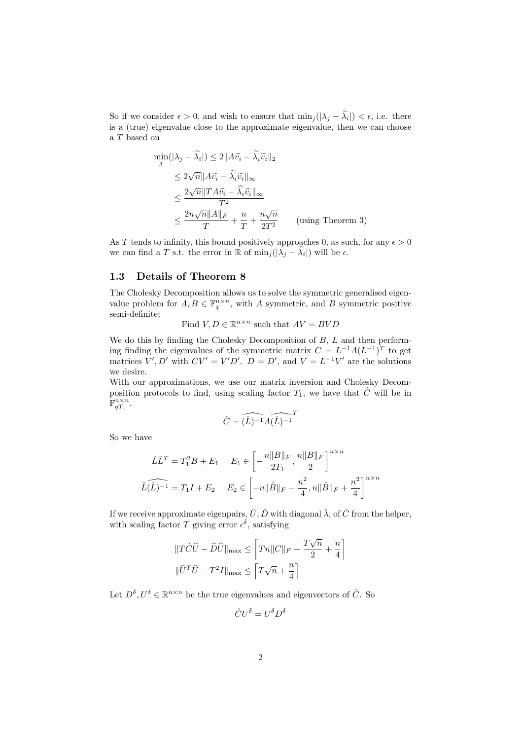So if we consider  $\epsilon > 0$ , and wish to ensure that  $\min_j(|\lambda_j - \lambda_i|) < \epsilon$ , i.e. there is a (true) eigenvalue close to the approximate eigenvalue, then we can choose a T based on

$$
\min_{j}(|\lambda_{j} - \tilde{\lambda}_{i}|) \le 2||A\tilde{v}_{i} - \tilde{\lambda}_{i}\tilde{v}_{i}||_{2}
$$
\n
$$
\le 2\sqrt{n}||A\tilde{v}_{i} - \tilde{\lambda}_{i}\tilde{v}_{i}||_{\infty}
$$
\n
$$
\le \frac{2\sqrt{n}||TA\hat{v}_{i} - \hat{\lambda}_{i}\hat{v}_{i}||_{\infty}}{T^{2}}
$$
\n
$$
\le \frac{2n\sqrt{n}||A||_{F}}{T} + \frac{n}{T} + \frac{n\sqrt{n}}{2T^{2}}
$$
 (using Theorem 3)

As T tends to infinity, this bound positively approaches 0, as such, for any  $\epsilon > 0$ we can find a T s.t. the error in  $\mathbb R$  of  $\min_j(|\lambda_j - \tilde{\lambda}_i|)$  will be  $\epsilon$ .

#### 1.3 Details of Theorem 8

The Cholesky Decomposition allows us to solve the symmetric generalised eigenvalue problem for  $A, B \in \mathbb{F}_q^{n \times n}$ , with A symmetric, and B symmetric positive semi-definite;

Find 
$$
V, D \in \mathbb{R}^{n \times n}
$$
 such that  $AV = BVD$ 

We do this by finding the Cholesky Decomposition of  $B, L$  and then performing finding the eigenvalues of the symmetric matrix  $C = L^{-1}A(L^{-1})^T$  to get matrices  $V', D'$  with  $CV' = V'D'$ .  $D = D'$ , and  $V = L^{-1}V'$  are the solutions we desire.

With our approximations, we use our matrix inversion and Cholesky Decomposition protocols to find, using scaling factor  $T_1$ , we have that  $\hat{C}$  will be in  $\mathbb{F}_{qT_1}^{n \times n}$ .

$$
\hat{C} = \widehat{(\hat{L})^{-1}} \widehat{A(\hat{L})^{-1}}
$$

So we have

$$
\hat{L}\hat{L}^T = T_1^2 B + E_1 \qquad E_1 \in \left[ -\frac{n||B||_F}{2T_1}, \frac{n||B||_F}{2} \right]^{n \times n}
$$

$$
\hat{L}(\hat{L})^{-1} = T_1 I + E_2 \qquad E_2 \in \left[ -n||\hat{B}||_F - \frac{n^2}{4}, n||\hat{B}||_F + \frac{n^2}{4} \right]^{n \times n}
$$

If we receive approximate eigenpairs,  $\hat{U}, \hat{D}$  with diagonal  $\hat{\lambda}$ , of  $\hat{C}$  from the helper, with scaling factor T giving error  $\epsilon^{\delta}$ , satisfying

$$
\begin{aligned} &\|T\hat{C}\hat{U}-\hat{D}\hat{U}\|_{\text{max}}\leq \left\lceil Tn\|C\|_F+\frac{T\sqrt{n}}{2}+\frac{n}{4}\right\rceil\\ &\|\hat{U}^T\hat{U}-T^2I\|_{\text{max}}\leq \left\lceil T\sqrt{n}+\frac{n}{4}\right\rceil \end{aligned}
$$

Let  $D^{\delta}, U^{\delta} \in \mathbb{R}^{n \times n}$  be the true eigenvalues and eigenvectors of  $\hat{C}$ . So

$$
\hat{C}U^{\delta} = U^{\delta}D^{\delta}
$$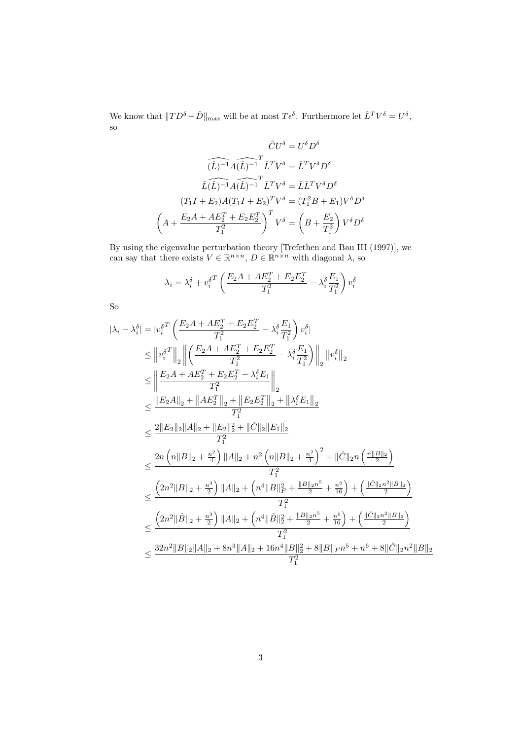We know that  $||TD^{\delta} - \hat{D}||_{\text{max}}$  will be at most  $T\epsilon^{\delta}$ . Furthermore let  $\hat{L}^{T}V^{\delta} = U^{\delta}$ , so

$$
\hat{C}U^{\delta} = U^{\delta}D^{\delta}
$$

$$
\widehat{(\hat{L})^{-1}}A(\widehat{L})^{-1}\hat{L}^{T}V^{\delta} = \hat{L}^{T}V^{\delta}D^{\delta}
$$

$$
\widehat{L}(\widehat{L})^{-1}A(\widehat{L})^{-1}\hat{L}^{T}V^{\delta} = \hat{L}\hat{L}^{T}V^{\delta}D^{\delta}
$$

$$
(T_{1}I + E_{2})A(T_{1}I + E_{2})^{T}V^{\delta} = (T_{1}^{2}B + E_{1})V^{\delta}D^{\delta}
$$

$$
\left(A + \frac{E_{2}A + AE_{2}^{T} + E_{2}E_{2}^{T}}{T_{1}^{2}}\right)^{T}V^{\delta} = \left(B + \frac{E_{2}}{T_{1}^{2}}\right)V^{\delta}D^{\delta}
$$

By using the eigenvalue perturbation theory [Trefethen and Bau III (1997)], we can say that there exists  $V \in \mathbb{R}^{n \times n}$ ,  $D \in \mathbb{R}^{n \times n}$  with diagonal  $\lambda$ , so

$$
\lambda_i = \lambda_i^{\delta} + v_i^{\delta T} \left( \frac{E_2 A + A E_2^T + E_2 E_2^T}{T_1^2} - \lambda_i^{\delta} \frac{E_1}{T_1^2} \right) v_i^{\delta}
$$

So

$$
\begin{aligned} |\lambda_i - \lambda_i^\delta| &= |v_i^{\delta T} \left( \frac{E_2 A + A E_2^T + E_2 E_2^T}{T_1^2} - \lambda_i^\delta \frac{E_1}{T_1^2} \right) v_i^\delta| \\ &\leq \left\| v_i^{\delta T} \right\|_2 \left\| \left( \frac{E_2 A + A E_2^T + E_2 E_2^T}{T_1^2} - \lambda_i^\delta \frac{E_1}{T_1^2} \right) \right\|_2 \|v_i^\delta\|_2 \\ &\leq \left\| \frac{E_2 A + A E_2^T + E_2 E_2^T - \lambda_i^\delta E_1}{T_1^2} \right\|_2 \\ &\leq \frac{\left\| E_2 A \right\|_2 + \left\| A E_2^T \right\|_2 + \left\| E_2 E_2^T \right\|_2 + \left\| \lambda_i^\delta E_1 \right\|_2}{T_1^2} \\ &\leq \frac{2 \|E_2\|_2 \|A\|_2 + \|E_2\|_2^2 + \|\hat{C}\|_2 \|E_1\|_2}{T_1^2} \\ &\leq \frac{2n \left( n \|B\|_2 + \frac{n^2}{4} \right) \|A\|_2 + n^2 \left( n \|B\|_2 + \frac{n^2}{4} \right)^2 + \|\hat{C}\|_2 n \left( \frac{n \|B\|_2}{2} \right)}{T_1^2} \\ &\leq \frac{\left( 2n^2 \|B\|_2 + \frac{n^3}{2} \right) \|A\|_2 + \left( n^4 \|B\|_F^2 + \frac{\|B\|_2 n^5}{2} + \frac{n^6}{16} \right) + \left( \frac{\|\hat{C}\|_2 n^2 \|B\|_2}{2} \right)}{T_1^2} \\ &\leq \frac{\left( 2n^2 \|\hat{B}\|_2 + \frac{n^3}{2} \right) \|A\|_2 + \left( n^4 \|\hat{B}\|_2^2 + \frac{\|B\|_2 n^5}{2} + \frac{n^6}{16} \right) + \left( \frac{\|\hat{C}\|_2 n^2 \|B\|_2}{2} \right)}{T_1^2} \\ &\leq \frac{32n^2 \|B\|_2 \|A\|_2 + 8n^3 \|A\|_2
$$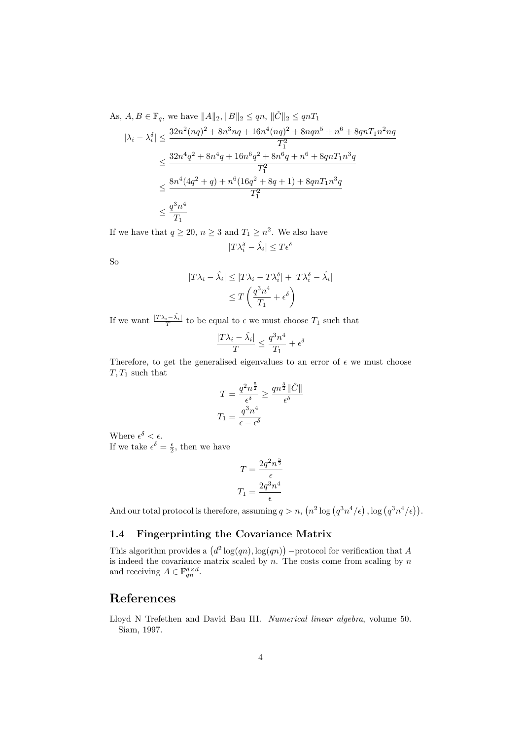As,  $A, B \in \mathbb{F}_q$ , we have  $||A||_2, ||B||_2 \le qn$ ,  $||\hat{C}||_2 \le qnT_1$ 

$$
|\lambda_i - \lambda_i^{\delta}| \le \frac{32n^2(nq)^2 + 8n^3nq + 16n^4(nq)^2 + 8nqn^5 + n^6 + 8qnT_1n^2nq}{T_1^2}
$$
  

$$
\le \frac{32n^4q^2 + 8n^4q + 16n^6q^2 + 8n^6q + n^6 + 8qnT_1n^3q}{T_1^2}
$$
  

$$
\le \frac{8n^4(4q^2 + q) + n^6(16q^2 + 8q + 1) + 8qnT_1n^3q}{T_1^2}
$$
  

$$
\le \frac{q^3n^4}{T_1}
$$

If we have that  $q \ge 20$ ,  $n \ge 3$  and  $T_1 \ge n^2$ . We also have

$$
|T\lambda_i^\delta-\hat{\lambda_i}|\leq T\epsilon^\delta
$$

So

$$
|T\lambda_i - \hat{\lambda}_i| \le |T\lambda_i - T\lambda_i^{\delta}| + |T\lambda_i^{\delta} - \hat{\lambda}_i|
$$
  

$$
\le T\left(\frac{q^3n^4}{T_1} + \epsilon^{\delta}\right)
$$

If we want  $\frac{|T\lambda_i - \hat{\lambda}_i|}{T}$  to be equal to  $\epsilon$  we must choose  $T_1$  such that

$$
\frac{|T\lambda_i - \hat{\lambda_i}|}{T} \le \frac{q^3n^4}{T_1} + \epsilon^{\delta}
$$

Therefore, to get the generalised eigenvalues to an error of  $\epsilon$  we must choose  $T, T_1$  such that

$$
T = \frac{q^2 n^{\frac{5}{2}}}{\epsilon^{\delta}} \ge \frac{qn^{\frac{3}{2}} \|\hat{C}\|}{\epsilon^{\delta}}
$$

$$
T_1 = \frac{q^{3} n^{4}}{\epsilon - \epsilon^{\delta}}
$$

Where  $\epsilon^{\delta} < \epsilon$ . If we take  $\epsilon^{\delta} = \frac{\epsilon}{2}$ , then we have

$$
T = \frac{2q^2n^{\frac{5}{2}}}{\epsilon}
$$

$$
T_1 = \frac{2q^3n^4}{\epsilon}
$$

And our total protocol is therefore, assuming  $q > n$ ,  $(n^2 \log (q^3 n^4/\epsilon))$ ,  $\log (q^3 n^4/\epsilon)$ .

### 1.4 Fingerprinting the Covariance Matrix

This algorithm provides a  $(d^2 \log(qn), \log(qn))$  -protocol for verification that A is indeed the covariance matrix scaled by  $n$ . The costs come from scaling by  $n$ and receiving  $A \in \mathbb{F}_{qn}^{d \times d}$ .

# References

Lloyd N Trefethen and David Bau III. Numerical linear algebra, volume 50. Siam, 1997.